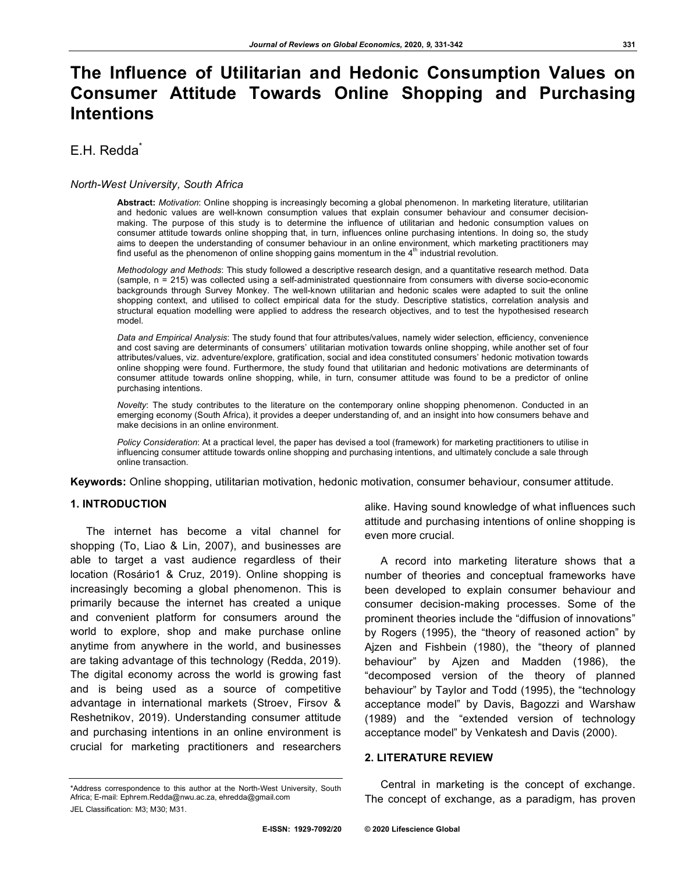# **The Influence of Utilitarian and Hedonic Consumption Values on Consumer Attitude Towards Online Shopping and Purchasing Intentions**

## E.H. Redda<sup>\*</sup>

#### *North-West University, South Africa*

**Abstract:** *Motivation*: Online shopping is increasingly becoming a global phenomenon. In marketing literature, utilitarian and hedonic values are well-known consumption values that explain consumer behaviour and consumer decisionmaking. The purpose of this study is to determine the influence of utilitarian and hedonic consumption values on consumer attitude towards online shopping that, in turn, influences online purchasing intentions. In doing so, the study aims to deepen the understanding of consumer behaviour in an online environment, which marketing practitioners may find useful as the phenomenon of online shopping gains momentum in the  $4<sup>th</sup>$  industrial revolution.

*Methodology and Methods*: This study followed a descriptive research design, and a quantitative research method. Data (sample, n = 215) was collected using a self-administrated questionnaire from consumers with diverse socio-economic backgrounds through Survey Monkey. The well-known utilitarian and hedonic scales were adapted to suit the online shopping context, and utilised to collect empirical data for the study. Descriptive statistics, correlation analysis and structural equation modelling were applied to address the research objectives, and to test the hypothesised research model.

*Data and Empirical Analysis*: The study found that four attributes/values, namely wider selection, efficiency, convenience and cost saving are determinants of consumers' utilitarian motivation towards online shopping, while another set of four attributes/values, viz. adventure/explore, gratification, social and idea constituted consumers' hedonic motivation towards online shopping were found. Furthermore, the study found that utilitarian and hedonic motivations are determinants of consumer attitude towards online shopping, while, in turn, consumer attitude was found to be a predictor of online purchasing intentions.

*Novelty*: The study contributes to the literature on the contemporary online shopping phenomenon. Conducted in an emerging economy (South Africa), it provides a deeper understanding of, and an insight into how consumers behave and make decisions in an online environment.

*Policy Consideration*: At a practical level, the paper has devised a tool (framework) for marketing practitioners to utilise in influencing consumer attitude towards online shopping and purchasing intentions, and ultimately conclude a sale through online transaction.

**Keywords:** Online shopping, utilitarian motivation, hedonic motivation, consumer behaviour, consumer attitude.

#### **1. INTRODUCTION**

The internet has become a vital channel for shopping (To, Liao & Lin, 2007), and businesses are able to target a vast audience regardless of their location (Rosário1 & Cruz, 2019). Online shopping is increasingly becoming a global phenomenon. This is primarily because the internet has created a unique and convenient platform for consumers around the world to explore, shop and make purchase online anytime from anywhere in the world, and businesses are taking advantage of this technology (Redda, 2019). The digital economy across the world is growing fast and is being used as a source of competitive advantage in international markets (Stroev, Firsov & Reshetnikov, 2019). Understanding consumer attitude and purchasing intentions in an online environment is crucial for marketing practitioners and researchers

alike. Having sound knowledge of what influences such attitude and purchasing intentions of online shopping is even more crucial.

A record into marketing literature shows that a number of theories and conceptual frameworks have been developed to explain consumer behaviour and consumer decision-making processes. Some of the prominent theories include the "diffusion of innovations" by Rogers (1995), the "theory of reasoned action" by Ajzen and Fishbein (1980), the "theory of planned behaviour" by Ajzen and Madden (1986), the "decomposed version of the theory of planned behaviour" by Taylor and Todd (1995), the "technology acceptance model" by Davis, Bagozzi and Warshaw (1989) and the "extended version of technology acceptance model" by Venkatesh and Davis (2000).

## **2. LITERATURE REVIEW**

Central in marketing is the concept of exchange. The concept of exchange, as a paradigm, has proven

<sup>\*</sup>Address correspondence to this author at the North-West University, South Africa; E-mail: Ephrem.Redda@nwu.ac.za, ehredda@gmail.com JEL Classification: M3; M30; M31.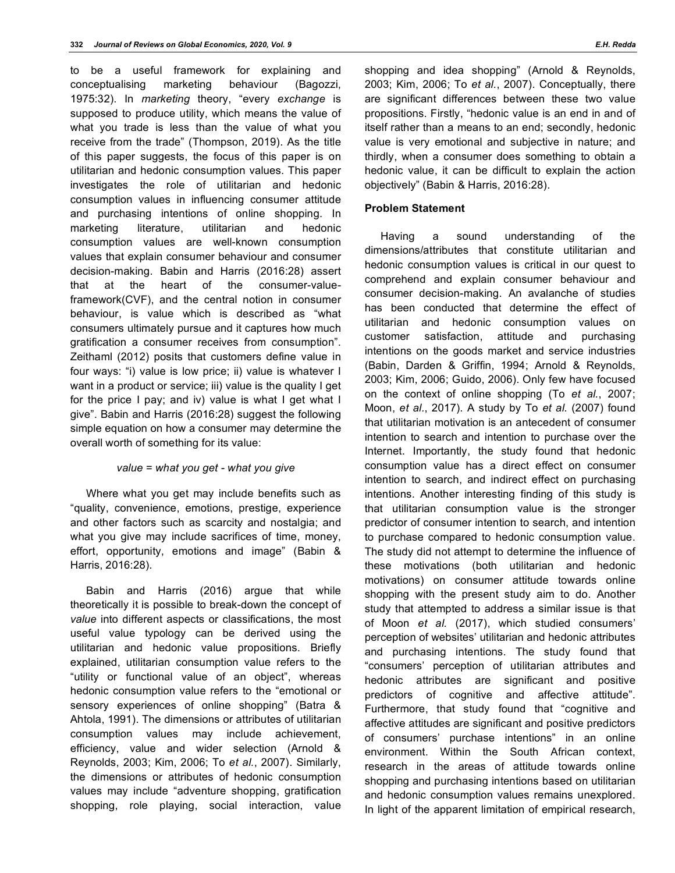to be a useful framework for explaining and conceptualising marketing behaviour (Bagozzi, 1975:32). In *marketing* theory, "every *exchange* is supposed to produce utility, which means the value of what you trade is less than the value of what you receive from the trade" (Thompson, 2019). As the title of this paper suggests, the focus of this paper is on utilitarian and hedonic consumption values. This paper investigates the role of utilitarian and hedonic consumption values in influencing consumer attitude and purchasing intentions of online shopping. In marketing literature, utilitarian and hedonic consumption values are well-known consumption values that explain consumer behaviour and consumer decision-making. Babin and Harris (2016:28) assert that at the heart of the consumer-valueframework(CVF), and the central notion in consumer behaviour, is value which is described as "what consumers ultimately pursue and it captures how much gratification a consumer receives from consumption". Zeithaml (2012) posits that customers define value in four ways: "i) value is low price; ii) value is whatever I want in a product or service; iii) value is the quality I get for the price I pay; and iv) value is what I get what I give". Babin and Harris (2016:28) suggest the following simple equation on how a consumer may determine the overall worth of something for its value:

## *value = what you get - what you give*

Where what you get may include benefits such as "quality, convenience, emotions, prestige, experience and other factors such as scarcity and nostalgia; and what you give may include sacrifices of time, money, effort, opportunity, emotions and image" (Babin & Harris, 2016:28).

Babin and Harris (2016) argue that while theoretically it is possible to break-down the concept of *value* into different aspects or classifications, the most useful value typology can be derived using the utilitarian and hedonic value propositions. Briefly explained, utilitarian consumption value refers to the "utility or functional value of an object", whereas hedonic consumption value refers to the "emotional or sensory experiences of online shopping" (Batra & Ahtola, 1991). The dimensions or attributes of utilitarian consumption values may include achievement, efficiency, value and wider selection (Arnold & Reynolds, 2003; Kim, 2006; To *et al.*, 2007). Similarly, the dimensions or attributes of hedonic consumption values may include "adventure shopping, gratification shopping, role playing, social interaction, value

shopping and idea shopping" (Arnold & Reynolds, 2003; Kim, 2006; To *et al.*, 2007). Conceptually, there are significant differences between these two value propositions. Firstly, "hedonic value is an end in and of itself rather than a means to an end; secondly, hedonic value is very emotional and subjective in nature; and thirdly, when a consumer does something to obtain a hedonic value, it can be difficult to explain the action objectively" (Babin & Harris, 2016:28).

## **Problem Statement**

Having a sound understanding of the dimensions/attributes that constitute utilitarian and hedonic consumption values is critical in our quest to comprehend and explain consumer behaviour and consumer decision-making. An avalanche of studies has been conducted that determine the effect of utilitarian and hedonic consumption values on customer satisfaction, attitude and purchasing intentions on the goods market and service industries (Babin, Darden & Griffin, 1994; Arnold & Reynolds, 2003; Kim, 2006; Guido, 2006). Only few have focused on the context of online shopping (To *et al.*, 2007; Moon, *et al.*, 2017). A study by To *et al.* (2007) found that utilitarian motivation is an antecedent of consumer intention to search and intention to purchase over the Internet. Importantly, the study found that hedonic consumption value has a direct effect on consumer intention to search, and indirect effect on purchasing intentions. Another interesting finding of this study is that utilitarian consumption value is the stronger predictor of consumer intention to search, and intention to purchase compared to hedonic consumption value. The study did not attempt to determine the influence of these motivations (both utilitarian and hedonic motivations) on consumer attitude towards online shopping with the present study aim to do. Another study that attempted to address a similar issue is that of Moon *et al.* (2017), which studied consumers' perception of websites' utilitarian and hedonic attributes and purchasing intentions. The study found that "consumers' perception of utilitarian attributes and hedonic attributes are significant and positive predictors of cognitive and affective attitude". Furthermore, that study found that "cognitive and affective attitudes are significant and positive predictors of consumers' purchase intentions" in an online environment. Within the South African context, research in the areas of attitude towards online shopping and purchasing intentions based on utilitarian and hedonic consumption values remains unexplored. In light of the apparent limitation of empirical research,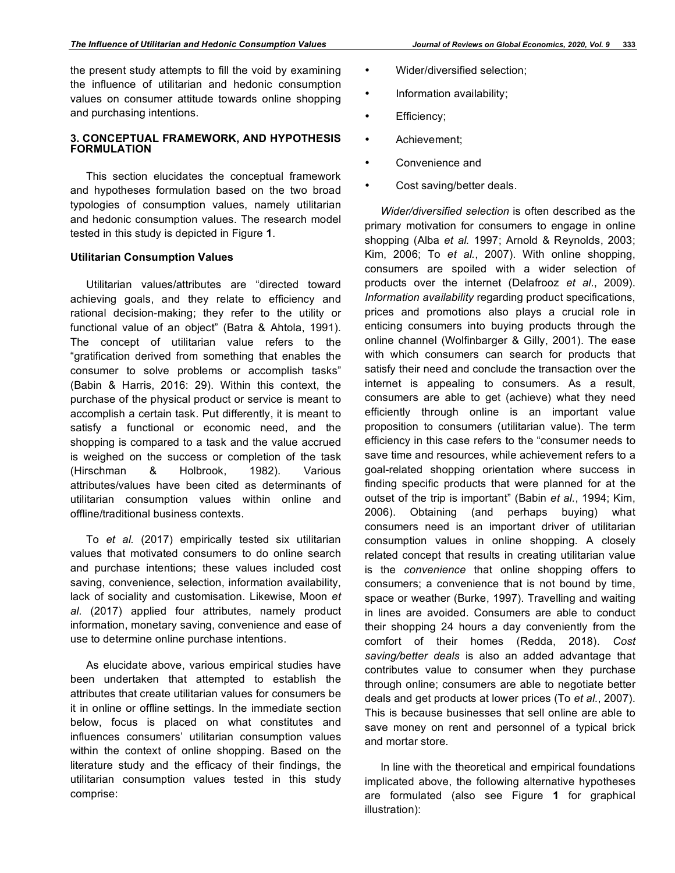the present study attempts to fill the void by examining the influence of utilitarian and hedonic consumption values on consumer attitude towards online shopping and purchasing intentions.

## **3. CONCEPTUAL FRAMEWORK, AND HYPOTHESIS FORMULATION**

This section elucidates the conceptual framework and hypotheses formulation based on the two broad typologies of consumption values, namely utilitarian and hedonic consumption values. The research model tested in this study is depicted in Figure **1**.

## **Utilitarian Consumption Values**

Utilitarian values/attributes are "directed toward achieving goals, and they relate to efficiency and rational decision-making; they refer to the utility or functional value of an object" (Batra & Ahtola, 1991). The concept of utilitarian value refers to the "gratification derived from something that enables the consumer to solve problems or accomplish tasks" (Babin & Harris, 2016: 29). Within this context, the purchase of the physical product or service is meant to accomplish a certain task. Put differently, it is meant to satisfy a functional or economic need, and the shopping is compared to a task and the value accrued is weighed on the success or completion of the task (Hirschman & Holbrook, 1982). Various attributes/values have been cited as determinants of utilitarian consumption values within online and offline/traditional business contexts.

To *et al.* (2017) empirically tested six utilitarian values that motivated consumers to do online search and purchase intentions; these values included cost saving, convenience, selection, information availability, lack of sociality and customisation. Likewise, Moon *et al*. (2017) applied four attributes, namely product information, monetary saving, convenience and ease of use to determine online purchase intentions.

As elucidate above, various empirical studies have been undertaken that attempted to establish the attributes that create utilitarian values for consumers be it in online or offline settings. In the immediate section below, focus is placed on what constitutes and influences consumers' utilitarian consumption values within the context of online shopping. Based on the literature study and the efficacy of their findings, the utilitarian consumption values tested in this study comprise:

- Wider/diversified selection;
- Information availability;
- Efficiency;
- Achievement;
- Convenience and
- Cost saving/better deals.

*Wider/diversified selection* is often described as the primary motivation for consumers to engage in online shopping (Alba *et al.* 1997; Arnold & Reynolds, 2003; Kim, 2006; To *et al.*, 2007). With online shopping, consumers are spoiled with a wider selection of products over the internet (Delafrooz *et al.*, 2009). *Information availability* regarding product specifications, prices and promotions also plays a crucial role in enticing consumers into buying products through the online channel (Wolfinbarger & Gilly, 2001). The ease with which consumers can search for products that satisfy their need and conclude the transaction over the internet is appealing to consumers. As a result, consumers are able to get (achieve) what they need efficiently through online is an important value proposition to consumers (utilitarian value). The term efficiency in this case refers to the "consumer needs to save time and resources, while achievement refers to a goal-related shopping orientation where success in finding specific products that were planned for at the outset of the trip is important" (Babin *et al.*, 1994; Kim, 2006). Obtaining (and perhaps buying) what consumers need is an important driver of utilitarian consumption values in online shopping. A closely related concept that results in creating utilitarian value is the *convenience* that online shopping offers to consumers; a convenience that is not bound by time, space or weather (Burke, 1997). Travelling and waiting in lines are avoided. Consumers are able to conduct their shopping 24 hours a day conveniently from the comfort of their homes (Redda, 2018). *Cost saving/better deals* is also an added advantage that contributes value to consumer when they purchase through online; consumers are able to negotiate better deals and get products at lower prices (To *et al.*, 2007). This is because businesses that sell online are able to save money on rent and personnel of a typical brick and mortar store.

In line with the theoretical and empirical foundations implicated above, the following alternative hypotheses are formulated (also see Figure **1** for graphical illustration):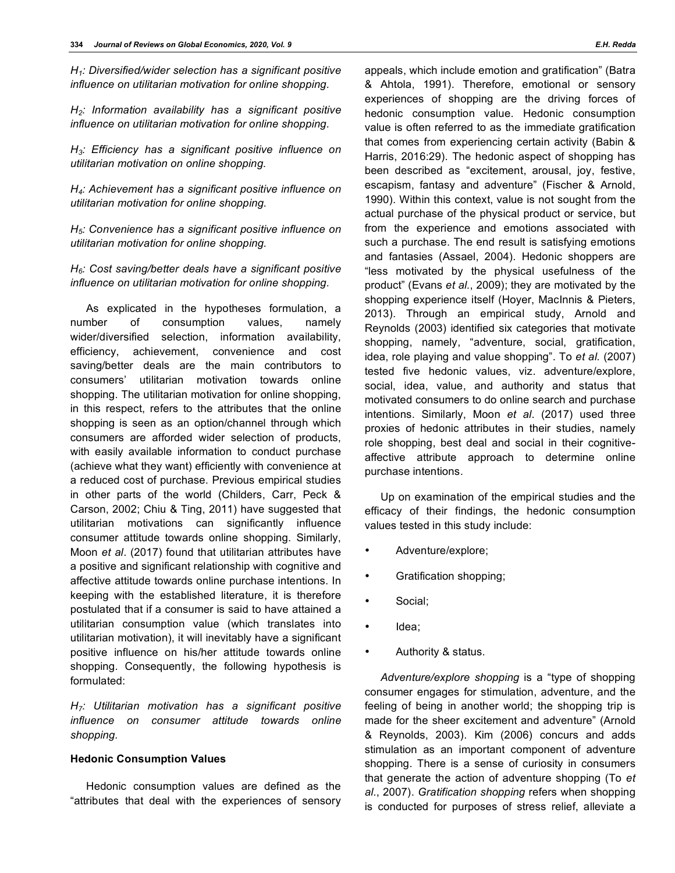*H1: Diversified/wider selection has a significant positive influence on utilitarian motivation for online shopping.*

*H2: Information availability has a significant positive influence on utilitarian motivation for online shopping.*

*H3: Efficiency has a significant positive influence on utilitarian motivation on online shopping.*

*H4: Achievement has a significant positive influence on utilitarian motivation for online shopping.*

*H5: Convenience has a significant positive influence on utilitarian motivation for online shopping.*

*H6: Cost saving/better deals have a significant positive influence on utilitarian motivation for online shopping.*

As explicated in the hypotheses formulation, a number of consumption values, namely wider/diversified selection, information availability, efficiency, achievement, convenience and cost saving/better deals are the main contributors to consumers' utilitarian motivation towards online shopping. The utilitarian motivation for online shopping, in this respect, refers to the attributes that the online shopping is seen as an option/channel through which consumers are afforded wider selection of products, with easily available information to conduct purchase (achieve what they want) efficiently with convenience at a reduced cost of purchase. Previous empirical studies in other parts of the world (Childers, Carr, Peck & Carson, 2002; Chiu & Ting, 2011) have suggested that utilitarian motivations can significantly influence consumer attitude towards online shopping. Similarly, Moon *et al*. (2017) found that utilitarian attributes have a positive and significant relationship with cognitive and affective attitude towards online purchase intentions. In keeping with the established literature, it is therefore postulated that if a consumer is said to have attained a utilitarian consumption value (which translates into utilitarian motivation), it will inevitably have a significant positive influence on his/her attitude towards online shopping. Consequently, the following hypothesis is formulated:

*H7: Utilitarian motivation has a significant positive influence on consumer attitude towards online shopping.*

#### **Hedonic Consumption Values**

Hedonic consumption values are defined as the "attributes that deal with the experiences of sensory appeals, which include emotion and gratification" (Batra & Ahtola, 1991). Therefore, emotional or sensory experiences of shopping are the driving forces of hedonic consumption value. Hedonic consumption value is often referred to as the immediate gratification that comes from experiencing certain activity (Babin & Harris, 2016:29). The hedonic aspect of shopping has been described as "excitement, arousal, joy, festive, escapism, fantasy and adventure" (Fischer & Arnold, 1990). Within this context, value is not sought from the actual purchase of the physical product or service, but from the experience and emotions associated with such a purchase. The end result is satisfying emotions and fantasies (Assael, 2004). Hedonic shoppers are "less motivated by the physical usefulness of the product" (Evans *et al.*, 2009); they are motivated by the shopping experience itself (Hoyer, MacInnis & Pieters, 2013). Through an empirical study, Arnold and Reynolds (2003) identified six categories that motivate shopping, namely, "adventure, social, gratification, idea, role playing and value shopping". To *et al.* (2007) tested five hedonic values, viz. adventure/explore, social, idea, value, and authority and status that motivated consumers to do online search and purchase intentions. Similarly, Moon *et al*. (2017) used three proxies of hedonic attributes in their studies, namely role shopping, best deal and social in their cognitiveaffective attribute approach to determine online purchase intentions.

Up on examination of the empirical studies and the efficacy of their findings, the hedonic consumption values tested in this study include:

- Adventure/explore;
- Gratification shopping;
- Social;
- Idea;
- Authority & status.

*Adventure/explore shopping* is a "type of shopping consumer engages for stimulation, adventure, and the feeling of being in another world; the shopping trip is made for the sheer excitement and adventure" (Arnold & Reynolds, 2003). Kim (2006) concurs and adds stimulation as an important component of adventure shopping. There is a sense of curiosity in consumers that generate the action of adventure shopping (To *et al*., 2007). *Gratification shopping* refers when shopping is conducted for purposes of stress relief, alleviate a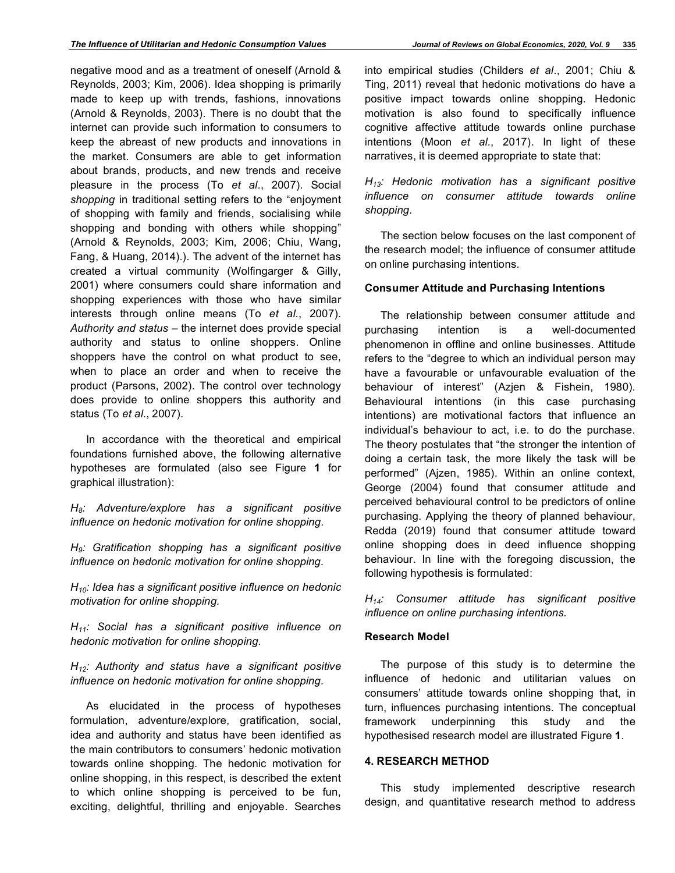negative mood and as a treatment of oneself (Arnold & Reynolds, 2003; Kim, 2006). Idea shopping is primarily made to keep up with trends, fashions, innovations (Arnold & Reynolds, 2003). There is no doubt that the internet can provide such information to consumers to keep the abreast of new products and innovations in the market. Consumers are able to get information about brands, products, and new trends and receive pleasure in the process (To *et al*., 2007). Social *shopping* in traditional setting refers to the "enjoyment of shopping with family and friends, socialising while shopping and bonding with others while shopping" (Arnold & Reynolds, 2003; Kim, 2006; Chiu, Wang, Fang, & Huang, 2014).). The advent of the internet has created a virtual community (Wolfingarger & Gilly, 2001) where consumers could share information and shopping experiences with those who have similar interests through online means (To *et al*., 2007). *Authority and status* – the internet does provide special authority and status to online shoppers. Online shoppers have the control on what product to see, when to place an order and when to receive the product (Parsons, 2002). The control over technology does provide to online shoppers this authority and status (To *et al*., 2007).

In accordance with the theoretical and empirical foundations furnished above, the following alternative hypotheses are formulated (also see Figure **1** for graphical illustration):

*H8: Adventure/explore has a significant positive influence on hedonic motivation for online shopping.*

*H9: Gratification shopping has a significant positive influence on hedonic motivation for online shopping.*

*H10: Idea has a significant positive influence on hedonic motivation for online shopping.*

*H11: Social has a significant positive influence on hedonic motivation for online shopping.*

*H12: Authority and status have a significant positive influence on hedonic motivation for online shopping.*

As elucidated in the process of hypotheses formulation, adventure/explore, gratification, social, idea and authority and status have been identified as the main contributors to consumers' hedonic motivation towards online shopping. The hedonic motivation for online shopping, in this respect, is described the extent to which online shopping is perceived to be fun, exciting, delightful, thrilling and enjoyable. Searches

into empirical studies (Childers *et al*., 2001; Chiu & Ting, 2011) reveal that hedonic motivations do have a positive impact towards online shopping. Hedonic motivation is also found to specifically influence cognitive affective attitude towards online purchase intentions (Moon *et al.*, 2017). In light of these narratives, it is deemed appropriate to state that:

*H13: Hedonic motivation has a significant positive influence on consumer attitude towards online shopping.*

The section below focuses on the last component of the research model; the influence of consumer attitude on online purchasing intentions.

### **Consumer Attitude and Purchasing Intentions**

The relationship between consumer attitude and purchasing intention is a well-documented phenomenon in offline and online businesses. Attitude refers to the "degree to which an individual person may have a favourable or unfavourable evaluation of the behaviour of interest" (Azjen & Fishein, 1980). Behavioural intentions (in this case purchasing intentions) are motivational factors that influence an individual's behaviour to act, i.e. to do the purchase. The theory postulates that "the stronger the intention of doing a certain task, the more likely the task will be performed" (Ajzen, 1985). Within an online context, George (2004) found that consumer attitude and perceived behavioural control to be predictors of online purchasing. Applying the theory of planned behaviour, Redda (2019) found that consumer attitude toward online shopping does in deed influence shopping behaviour. In line with the foregoing discussion, the following hypothesis is formulated:

*H14: Consumer attitude has significant positive influence on online purchasing intentions.*

#### **Research Model**

The purpose of this study is to determine the influence of hedonic and utilitarian values on consumers' attitude towards online shopping that, in turn, influences purchasing intentions. The conceptual framework underpinning this study and the hypothesised research model are illustrated Figure **1**.

## **4. RESEARCH METHOD**

This study implemented descriptive research design, and quantitative research method to address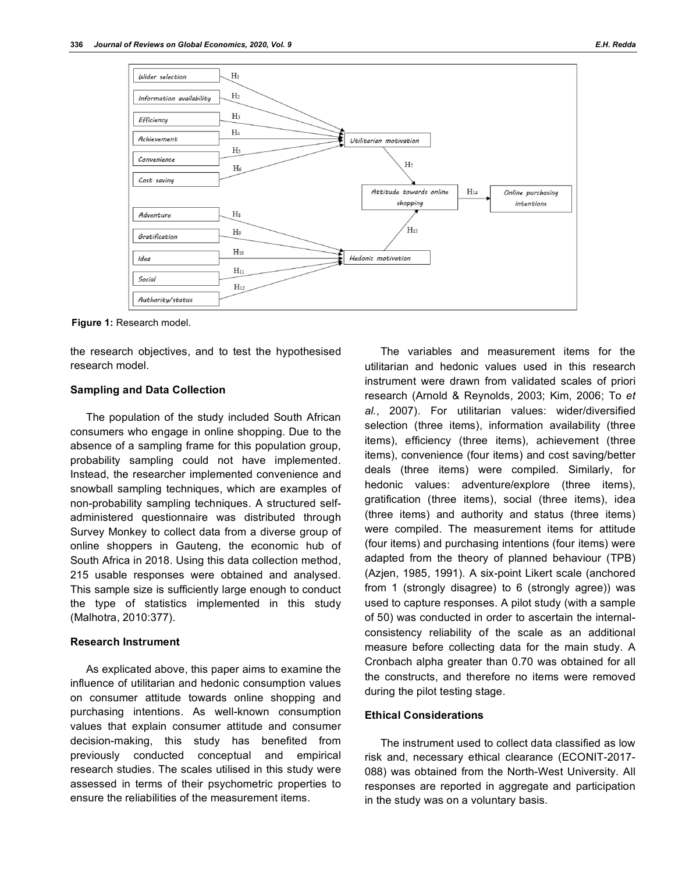

**Figure 1:** Research model.

the research objectives, and to test the hypothesised research model.

#### **Sampling and Data Collection**

The population of the study included South African consumers who engage in online shopping. Due to the absence of a sampling frame for this population group, probability sampling could not have implemented. Instead, the researcher implemented convenience and snowball sampling techniques, which are examples of non-probability sampling techniques. A structured selfadministered questionnaire was distributed through Survey Monkey to collect data from a diverse group of online shoppers in Gauteng, the economic hub of South Africa in 2018. Using this data collection method, 215 usable responses were obtained and analysed. This sample size is sufficiently large enough to conduct the type of statistics implemented in this study (Malhotra, 2010:377).

#### **Research Instrument**

As explicated above, this paper aims to examine the influence of utilitarian and hedonic consumption values on consumer attitude towards online shopping and purchasing intentions. As well-known consumption values that explain consumer attitude and consumer decision-making, this study has benefited from previously conducted conceptual and empirical research studies. The scales utilised in this study were assessed in terms of their psychometric properties to ensure the reliabilities of the measurement items.

The variables and measurement items for the utilitarian and hedonic values used in this research instrument were drawn from validated scales of priori research (Arnold & Reynolds, 2003; Kim, 2006; To *et al.*, 2007). For utilitarian values: wider/diversified selection (three items), information availability (three items), efficiency (three items), achievement (three items), convenience (four items) and cost saving/better deals (three items) were compiled. Similarly, for hedonic values: adventure/explore (three items), gratification (three items), social (three items), idea (three items) and authority and status (three items) were compiled. The measurement items for attitude (four items) and purchasing intentions (four items) were adapted from the theory of planned behaviour (TPB) (Azjen, 1985, 1991). A six-point Likert scale (anchored from 1 (strongly disagree) to 6 (strongly agree)) was used to capture responses. A pilot study (with a sample of 50) was conducted in order to ascertain the internalconsistency reliability of the scale as an additional measure before collecting data for the main study. A Cronbach alpha greater than 0.70 was obtained for all the constructs, and therefore no items were removed during the pilot testing stage.

#### **Ethical Considerations**

The instrument used to collect data classified as low risk and, necessary ethical clearance (ECONIT-2017- 088) was obtained from the North-West University. All responses are reported in aggregate and participation in the study was on a voluntary basis.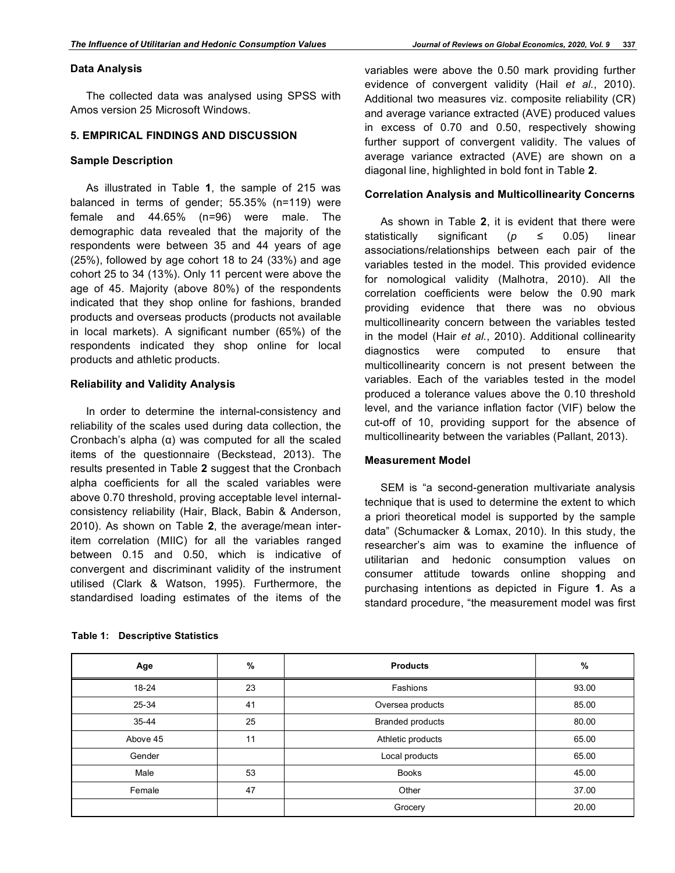#### **Data Analysis**

The collected data was analysed using SPSS with Amos version 25 Microsoft Windows.

## **5. EMPIRICAL FINDINGS AND DISCUSSION**

#### **Sample Description**

As illustrated in Table **1**, the sample of 215 was balanced in terms of gender; 55.35% (n=119) were female and 44.65% (n=96) were male. The demographic data revealed that the majority of the respondents were between 35 and 44 years of age (25%), followed by age cohort 18 to 24 (33%) and age cohort 25 to 34 (13%). Only 11 percent were above the age of 45. Majority (above 80%) of the respondents indicated that they shop online for fashions, branded products and overseas products (products not available in local markets). A significant number (65%) of the respondents indicated they shop online for local products and athletic products.

#### **Reliability and Validity Analysis**

In order to determine the internal-consistency and reliability of the scales used during data collection, the Cronbach's alpha (α) was computed for all the scaled items of the questionnaire (Beckstead, 2013). The results presented in Table **2** suggest that the Cronbach alpha coefficients for all the scaled variables were above 0.70 threshold, proving acceptable level internalconsistency reliability (Hair, Black, Babin & Anderson, 2010). As shown on Table **2**, the average/mean interitem correlation (MIIC) for all the variables ranged between 0.15 and 0.50, which is indicative of convergent and discriminant validity of the instrument utilised (Clark & Watson, 1995). Furthermore, the standardised loading estimates of the items of the

|  | <b>Table 1: Descriptive Statistics</b> |
|--|----------------------------------------|
|--|----------------------------------------|

variables were above the 0.50 mark providing further evidence of convergent validity (Hail *et al.*, 2010). Additional two measures viz. composite reliability (CR) and average variance extracted (AVE) produced values in excess of 0.70 and 0.50, respectively showing further support of convergent validity. The values of average variance extracted (AVE) are shown on a diagonal line, highlighted in bold font in Table **2**.

#### **Correlation Analysis and Multicollinearity Concerns**

As shown in Table **2**, it is evident that there were statistically significant (*p ≤* 0.05) linear associations/relationships between each pair of the variables tested in the model. This provided evidence for nomological validity (Malhotra, 2010). All the correlation coefficients were below the 0.90 mark providing evidence that there was no obvious multicollinearity concern between the variables tested in the model (Hair *et al.*, 2010). Additional collinearity diagnostics were computed to ensure that multicollinearity concern is not present between the variables. Each of the variables tested in the model produced a tolerance values above the 0.10 threshold level, and the variance inflation factor (VIF) below the cut-off of 10, providing support for the absence of multicollinearity between the variables (Pallant, 2013).

#### **Measurement Model**

SEM is "a second-generation multivariate analysis technique that is used to determine the extent to which a priori theoretical model is supported by the sample data" (Schumacker & Lomax, 2010). In this study, the researcher's aim was to examine the influence of utilitarian and hedonic consumption values on consumer attitude towards online shopping and purchasing intentions as depicted in Figure **1**. As a standard procedure, "the measurement model was first

| Age       | %  | <b>Products</b>         | %     |
|-----------|----|-------------------------|-------|
| $18 - 24$ | 23 | Fashions                | 93.00 |
| 25-34     | 41 | Oversea products        | 85.00 |
| 35-44     | 25 | <b>Branded products</b> | 80.00 |
| Above 45  | 11 | Athletic products       | 65.00 |
| Gender    |    | Local products          | 65.00 |
| Male      | 53 | <b>Books</b>            | 45.00 |
| Female    | 47 | Other                   | 37.00 |
|           |    | Grocery                 | 20.00 |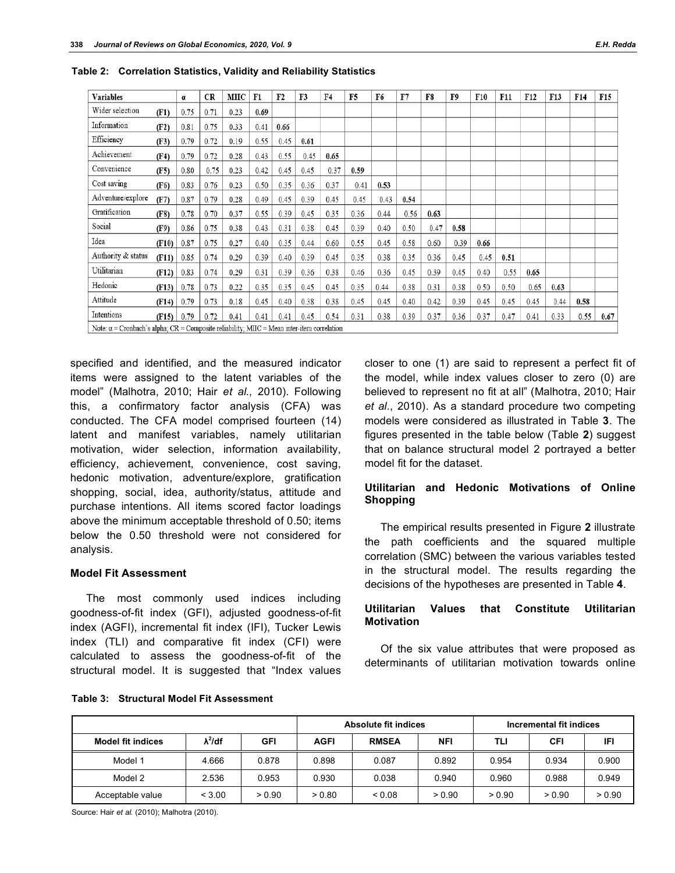| <b>Variables</b>                                                                                  |       | α    | <b>CR</b> | MIIC | F1   | F <sub>2</sub> | F3   | F4   | F <sub>5</sub> | F6   | F7   | F8   | F9   | F10  | F11  | F12  | <b>F13</b> | F14  | <b>F15</b> |
|---------------------------------------------------------------------------------------------------|-------|------|-----------|------|------|----------------|------|------|----------------|------|------|------|------|------|------|------|------------|------|------------|
| Wider selection                                                                                   | (F1)  | 0.75 | 0.71      | 0.23 | 0.69 |                |      |      |                |      |      |      |      |      |      |      |            |      |            |
| Information                                                                                       | (F2)  | 0.81 | 0.75      | 0.33 | 0.41 | 0.66           |      |      |                |      |      |      |      |      |      |      |            |      |            |
| Efficiency                                                                                        | (F3)  | 0.79 | 0.72      | 0.19 | 0.55 | 0.45           | 0.61 |      |                |      |      |      |      |      |      |      |            |      |            |
| Achievement                                                                                       | (F4)  | 0.79 | 0.72      | 0.28 | 0.43 | 0.55           | 0.45 | 0.65 |                |      |      |      |      |      |      |      |            |      |            |
| Convenience                                                                                       | (F5)  | 0.80 | 0.75      | 0.23 | 0.42 | 0.45           | 0.45 | 0.37 | 0.59           |      |      |      |      |      |      |      |            |      |            |
| Cost saving                                                                                       | (F6)  | 0.83 | 0.76      | 0.23 | 0.50 | 0.35           | 0.36 | 0.37 | 0.41           | 0.53 |      |      |      |      |      |      |            |      |            |
| Adventure/explore                                                                                 | (F7)  | 0.87 | 0.79      | 0.28 | 0.49 | 0.45           | 0.39 | 0.45 | 0.45           | 0.43 | 0.54 |      |      |      |      |      |            |      |            |
| Gratification                                                                                     | (F8)  | 0.78 | 0.70      | 0.37 | 0.55 | 0.39           | 0.45 | 0.35 | 0.36           | 0.44 | 0.56 | 0.63 |      |      |      |      |            |      |            |
| Social                                                                                            | (F9)  | 0.86 | 0.75      | 0.38 | 0.43 | 0.31           | 0.38 | 0.45 | 0.39           | 0.40 | 0.50 | 0.47 | 0.58 |      |      |      |            |      |            |
| Idea                                                                                              | (F10) | 0.87 | 0.75      | 0.27 | 0.40 | 0.35           | 0.44 | 0.60 | 0.55           | 0.45 | 0.58 | 0.60 | 0.39 | 0.66 |      |      |            |      |            |
| Authority & status                                                                                | (F11) | 0.85 | 0.74      | 0.29 | 0.39 | 0.40           | 0.39 | 0.45 | 0.35           | 0.38 | 0.35 | 0.36 | 0.45 | 0.45 | 0.51 |      |            |      |            |
| Utilitarian                                                                                       | (F12) | 0.83 | 0.74      | 0.29 | 0.31 | 0.39           | 0.36 | 0.38 | 0.46           | 0.36 | 0.45 | 0.39 | 0.45 | 0.40 | 0.55 | 0.65 |            |      |            |
| Hedonic                                                                                           | (F13) | 0.78 | 0.73      | 0.22 | 0.35 | 0.35           | 0.45 | 0.45 | 0.35           | 0.44 | 0.38 | 0.31 | 0.38 | 0.50 | 0.50 | 0.65 | 0.63       |      |            |
| Attitude                                                                                          | (F14) | 0.79 | 0.73      | 0.18 | 0.45 | 0.40           | 0.38 | 0.38 | 0.45           | 0.45 | 0.40 | 0.42 | 0.39 | 0.45 | 0.45 | 0.45 | 0.44       | 0.58 |            |
| Intentions                                                                                        | (F15) | 0.79 | 0.72      | 0.41 | 0.41 | 0.41           | 0.45 | 0.54 | 0.31           | 0.38 | 0.39 | 0.37 | 0.36 | 0.37 | 0.47 | 0.41 | 0.33       | 0.55 | 0.67       |
| Note: $\alpha$ = Cronbach's alpha; CR = Composite reliability; MIIC = Mean inter-item correlation |       |      |           |      |      |                |      |      |                |      |      |      |      |      |      |      |            |      |            |

**Table 2: Correlation Statistics, Validity and Reliability Statistics**

specified and identified, and the measured indicator items were assigned to the latent variables of the model" (Malhotra, 2010; Hair *et al.,* 2010). Following this, a confirmatory factor analysis (CFA) was conducted. The CFA model comprised fourteen (14) latent and manifest variables, namely utilitarian motivation, wider selection, information availability, efficiency, achievement, convenience, cost saving, hedonic motivation, adventure/explore, gratification shopping, social, idea, authority/status, attitude and purchase intentions. All items scored factor loadings above the minimum acceptable threshold of 0.50; items below the 0.50 threshold were not considered for analysis.

#### **Model Fit Assessment**

The most commonly used indices including goodness-of-fit index (GFI), adjusted goodness-of-fit index (AGFI), incremental fit index (IFI), Tucker Lewis index (TLI) and comparative fit index (CFI) were calculated to assess the goodness-of-fit of the structural model. It is suggested that "Index values closer to one (1) are said to represent a perfect fit of the model, while index values closer to zero (0) are believed to represent no fit at all" (Malhotra, 2010; Hair *et al.*, 2010). As a standard procedure two competing models were considered as illustrated in Table **3**. The figures presented in the table below (Table **2**) suggest that on balance structural model 2 portrayed a better model fit for the dataset.

## **Utilitarian and Hedonic Motivations of Online Shopping**

The empirical results presented in Figure **2** illustrate the path coefficients and the squared multiple correlation (SMC) between the various variables tested in the structural model. The results regarding the decisions of the hypotheses are presented in Table **4**.

## **Utilitarian Values that Constitute Utilitarian Motivation**

Of the six value attributes that were proposed as determinants of utilitarian motivation towards online

|                          |                 |        |             | <b>Absolute fit indices</b> |            | Incremental fit indices |        |        |  |  |
|--------------------------|-----------------|--------|-------------|-----------------------------|------------|-------------------------|--------|--------|--|--|
| <b>Model fit indices</b> | $\lambda^2$ /df | GFI    | <b>AGFI</b> | <b>RMSEA</b>                | <b>NFI</b> | TLI                     | CFI    | IFI    |  |  |
| Model 1                  | 4.666           | 0.878  | 0.898       | 0.087                       | 0.892      | 0.954                   | 0.934  | 0.900  |  |  |
| Model 2                  | 2.536           | 0.953  | 0.930       | 0.038                       | 0.940      | 0.960                   | 0.988  | 0.949  |  |  |
| Acceptable value         | < 3.00          | > 0.90 | > 0.80      | 0.08                        | > 0.90     | > 0.90                  | > 0.90 | > 0.90 |  |  |

**Table 3: Structural Model Fit Assessment**

Source: Hair *et al.* (2010); Malhotra (2010).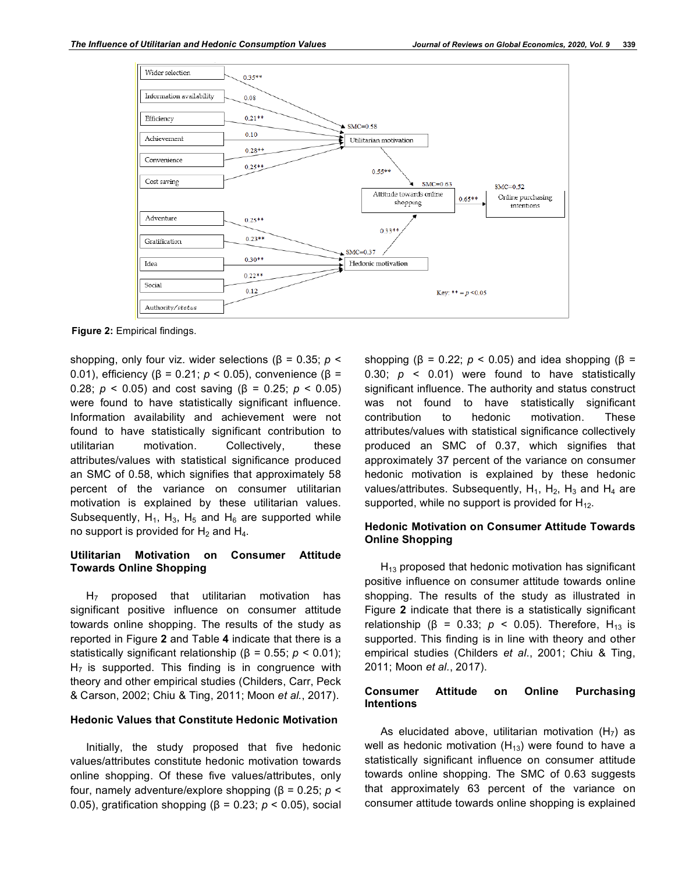

**Figure 2:** Empirical findings.

shopping, only four viz. wider selections (β = 0.35; *p* < 0.01), efficiency (β = 0.21; *p* < 0.05), convenience (β = 0.28; *p* < 0.05) and cost saving (β = 0.25; *p* < 0.05) were found to have statistically significant influence. Information availability and achievement were not found to have statistically significant contribution to utilitarian motivation. Collectively, these attributes/values with statistical significance produced an SMC of 0.58, which signifies that approximately 58 percent of the variance on consumer utilitarian motivation is explained by these utilitarian values. Subsequently,  $H_1$ ,  $H_3$ ,  $H_5$  and  $H_6$  are supported while no support is provided for  $H_2$  and  $H_4$ .

## **Utilitarian Motivation on Consumer Attitude Towards Online Shopping**

 $H<sub>7</sub>$  proposed that utilitarian motivation has significant positive influence on consumer attitude towards online shopping. The results of the study as reported in Figure **2** and Table **4** indicate that there is a statistically significant relationship (β = 0.55; *p* < 0.01);  $H<sub>7</sub>$  is supported. This finding is in congruence with theory and other empirical studies (Childers, Carr, Peck & Carson, 2002; Chiu & Ting, 2011; Moon *et al.*, 2017).

#### **Hedonic Values that Constitute Hedonic Motivation**

Initially, the study proposed that five hedonic values/attributes constitute hedonic motivation towards online shopping. Of these five values/attributes, only four, namely adventure/explore shopping (β = 0.25; *p* < 0.05), gratification shopping (β = 0.23; *p* < 0.05), social

shopping ( $β = 0.22$ ;  $p < 0.05$ ) and idea shopping ( $β =$ 0.30;  $p \le 0.01$ ) were found to have statistically significant influence. The authority and status construct was not found to have statistically significant contribution to hedonic motivation. These attributes/values with statistical significance collectively produced an SMC of 0.37, which signifies that approximately 37 percent of the variance on consumer hedonic motivation is explained by these hedonic values/attributes. Subsequently,  $H_1$ ,  $H_2$ ,  $H_3$  and  $H_4$  are supported, while no support is provided for  $H_{12}$ .

## **Hedonic Motivation on Consumer Attitude Towards Online Shopping**

 $H_{13}$  proposed that hedonic motivation has significant positive influence on consumer attitude towards online shopping. The results of the study as illustrated in Figure **2** indicate that there is a statistically significant relationship ( $β = 0.33$ ;  $p < 0.05$ ). Therefore, H<sub>13</sub> is supported. This finding is in line with theory and other empirical studies (Childers *et al*., 2001; Chiu & Ting, 2011; Moon *et al.*, 2017).

#### **Consumer Attitude on Online Purchasing Intentions**

As elucidated above, utilitarian motivation  $(H<sub>7</sub>)$  as well as hedonic motivation  $(H_{13})$  were found to have a statistically significant influence on consumer attitude towards online shopping. The SMC of 0.63 suggests that approximately 63 percent of the variance on consumer attitude towards online shopping is explained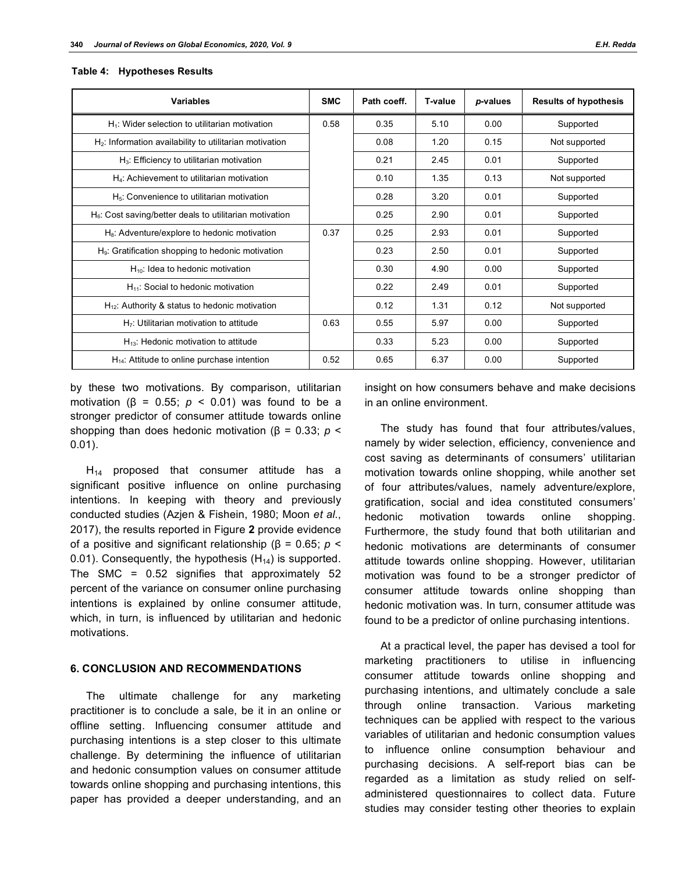| <b>Variables</b>                                           | <b>SMC</b> | Path coeff. | <b>T-value</b> | p-values | <b>Results of hypothesis</b> |
|------------------------------------------------------------|------------|-------------|----------------|----------|------------------------------|
| $H_1$ : Wider selection to utilitarian motivation          | 0.58       | 0.35        | 5.10           | 0.00     | Supported                    |
| $H_2$ : Information availability to utilitarian motivation |            | 0.08        | 1.20           | 0.15     | Not supported                |
| $H_3$ : Efficiency to utilitarian motivation               |            | 0.21        | 2.45           | 0.01     | Supported                    |
| H <sub>4</sub> : Achievement to utilitarian motivation     |            | 0.10        | 1.35           | 0.13     | Not supported                |
| $H5$ : Convenience to utilitarian motivation               |            | 0.28        | 3.20           | 0.01     | Supported                    |
| $H_6$ : Cost saving/better deals to utilitarian motivation |            | 0.25        | 2.90           | 0.01     | Supported                    |
| $H_8$ : Adventure/explore to hedonic motivation            | 0.37       | 0.25        | 2.93           | 0.01     | Supported                    |
| $Hg$ : Gratification shopping to hedonic motivation        |            | 0.23        | 2.50           | 0.01     | Supported                    |
| $H_{10}$ : Idea to hedonic motivation                      |            | 0.30        | 4.90           | 0.00     | Supported                    |
| $H_{11}$ : Social to hedonic motivation                    |            | 0.22        | 2.49           | 0.01     | Supported                    |
| $H_{12}$ : Authority & status to hedonic motivation        |            | 0.12        | 1.31           | 0.12     | Not supported                |
| $H7$ : Utilitarian motivation to attitude                  | 0.63       | 0.55        | 5.97           | 0.00     | Supported                    |
| $H_{13}$ : Hedonic motivation to attitude                  |            | 0.33        | 5.23           | 0.00     | Supported                    |
| $H_{14}$ : Attitude to online purchase intention           | 0.52       | 0.65        | 6.37           | 0.00     | Supported                    |

#### **Table 4: Hypotheses Results**

by these two motivations. By comparison, utilitarian motivation ( $\beta$  = 0.55;  $p$  < 0.01) was found to be a stronger predictor of consumer attitude towards online shopping than does hedonic motivation (β = 0.33; *p* < 0.01).

 $H_{14}$  proposed that consumer attitude has a significant positive influence on online purchasing intentions. In keeping with theory and previously conducted studies (Azjen & Fishein, 1980; Moon *et al*., 2017), the results reported in Figure **2** provide evidence of a positive and significant relationship (β = 0.65; *p* < 0.01). Consequently, the hypothesis  $(H_{14})$  is supported. The SMC = 0.52 signifies that approximately 52 percent of the variance on consumer online purchasing intentions is explained by online consumer attitude, which, in turn, is influenced by utilitarian and hedonic motivations.

#### **6. CONCLUSION AND RECOMMENDATIONS**

The ultimate challenge for any marketing practitioner is to conclude a sale, be it in an online or offline setting. Influencing consumer attitude and purchasing intentions is a step closer to this ultimate challenge. By determining the influence of utilitarian and hedonic consumption values on consumer attitude towards online shopping and purchasing intentions, this paper has provided a deeper understanding, and an

insight on how consumers behave and make decisions in an online environment.

The study has found that four attributes/values, namely by wider selection, efficiency, convenience and cost saving as determinants of consumers' utilitarian motivation towards online shopping, while another set of four attributes/values, namely adventure/explore, gratification, social and idea constituted consumers' hedonic motivation towards online shopping. Furthermore, the study found that both utilitarian and hedonic motivations are determinants of consumer attitude towards online shopping. However, utilitarian motivation was found to be a stronger predictor of consumer attitude towards online shopping than hedonic motivation was. In turn, consumer attitude was found to be a predictor of online purchasing intentions.

At a practical level, the paper has devised a tool for marketing practitioners to utilise in influencing consumer attitude towards online shopping and purchasing intentions, and ultimately conclude a sale through online transaction. Various marketing techniques can be applied with respect to the various variables of utilitarian and hedonic consumption values to influence online consumption behaviour and purchasing decisions. A self-report bias can be regarded as a limitation as study relied on selfadministered questionnaires to collect data. Future studies may consider testing other theories to explain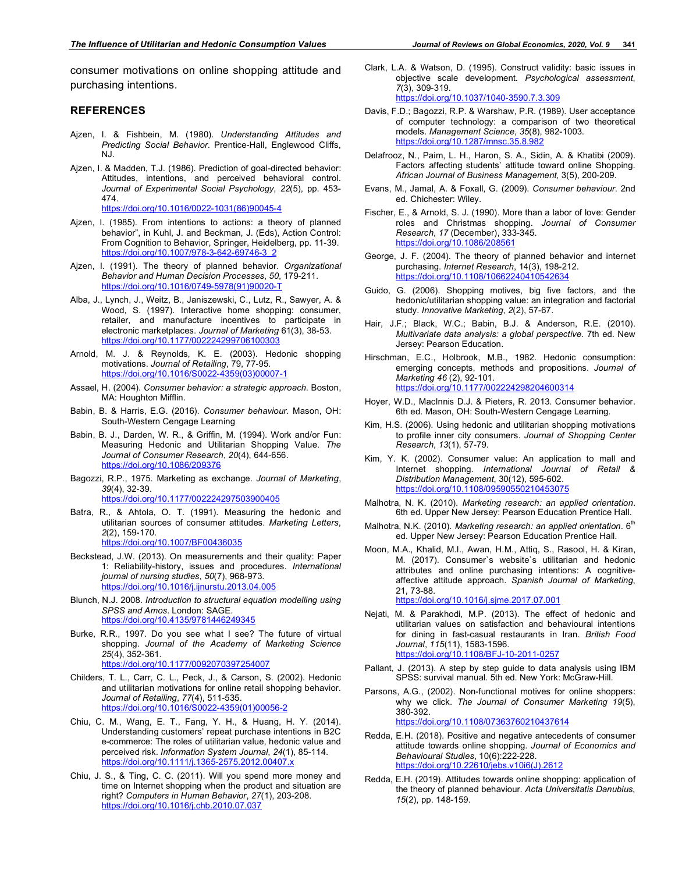consumer motivations on online shopping attitude and purchasing intentions.

#### **REFERENCES**

- Ajzen, I. & Fishbein, M. (1980). *Understanding Attitudes and Predicting Social Behavior*. Prentice-Hall, Englewood Cliffs, NJ.
- Ajzen, I. & Madden, T.J. (1986). Prediction of goal-directed behavior: Attitudes, intentions, and perceived behavioral control. *Journal of Experimental Social Psychology*, *22*(5), pp. 453- 474. https://doi.org/10.1016/0022-1031(86)90045-4
- Ajzen, I. (1985). From intentions to actions: a theory of planned behavior", in Kuhl, J. and Beckman, J. (Eds), Action Control: From Cognition to Behavior, Springer, Heidelberg, pp. 11-39. https://doi.org/10.1007/978-3-642-69746-3\_2
- Ajzen, I. (1991). The theory of planned behavior. *Organizational Behavior and Human Decision Processes*, *50*, 179-211. https://doi.org/10.1016/0749-5978(91)90020-T
- Alba, J., Lynch, J., Weitz, B., Janiszewski, C., Lutz, R., Sawyer, A. & Wood, S. (1997). Interactive home shopping: consumer, retailer, and manufacture incentives to participate in electronic marketplaces. *Journal of Marketing* 61(3), 38-53. https://doi.org/10.1177/002224299706100303
- Arnold, M. J. & Reynolds, K. E. (2003). Hedonic shopping motivations. *Journal of Retailing*, 79, 77-95. https://doi.org/10.1016/S0022-4359(03)00007-1
- Assael, H. (2004). *Consumer behavior: a strategic approach*. Boston, MA: Houghton Mifflin.
- Babin, B. & Harris, E.G. (2016). *Consumer behaviour*. Mason, OH: South-Western Cengage Learning
- Babin, B. J., Darden, W. R., & Griffin, M. (1994). Work and/or Fun: Measuring Hedonic and Utilitarian Shopping Value. *The Journal of Consumer Research*, *20*(4), 644-656. https://doi.org/10.1086/209376
- Bagozzi, R.P., 1975. Marketing as exchange. *Journal of Marketing*, *39*(4), 32-39. https://doi.org/10.1177/002224297503900405
- Batra, R., & Ahtola, O. T. (1991). Measuring the hedonic and utilitarian sources of consumer attitudes. *Marketing Letters*, *2*(2), 159-170. https://doi.org/10.1007/BF00436035
- Beckstead, J.W. (2013). On measurements and their quality: Paper 1: Reliability-history, issues and procedures. *International journal of nursing studies*, *50*(7), 968-973. https://doi.org/10.1016/j.ijnurstu.2013.04.005
- Blunch, N.J. 2008. *Introduction to structural equation modelling using SPSS and Amos*. London: SAGE. https://doi.org/10.4135/9781446249345
- Burke, R.R., 1997. Do you see what I see? The future of virtual shopping. *Journal of the Academy of Marketing Science 25*(4), 352-361. https://doi.org/10.1177/0092070397254007
- Childers, T. L., Carr, C. L., Peck, J., & Carson, S. (2002). Hedonic and utilitarian motivations for online retail shopping behavior. *Journal of Retailing*, *77*(4), 511-535. https://doi.org/10.1016/S0022-4359(01)00056-2
- Chiu, C. M., Wang, E. T., Fang, Y. H., & Huang, H. Y. (2014). Understanding customers' repeat purchase intentions in B2C e-commerce: The roles of utilitarian value, hedonic value and perceived risk. *Information System Journal*, *24*(1), 85-114. https://doi.org/10.1111/j.1365-2575.2012.00407.x
- Chiu, J. S., & Ting, C. C. (2011). Will you spend more money and time on Internet shopping when the product and situation are right? *Computers in Human Behavior*, *27*(1), 203-208. https://doi.org/10.1016/j.chb.2010.07.037
- Clark, L.A. & Watson, D. (1995). Construct validity: basic issues in objective scale development. *Psychological assessment*, *7*(3), 309-319. https://doi.org/10.1037/1040-3590.7.3.309
- Davis, F.D.; Bagozzi, R.P. & Warshaw, P.R. (1989). User acceptance of computer technology: a comparison of two theoretical models. *Management Science*, *35*(8), 982-1003. https://doi.org/10.1287/mnsc.35.8.982
- Delafrooz, N., Paim, L. H., Haron, S. A., Sidin, A. & Khatibi (2009). Factors affecting students' attitude toward online Shopping. *African Journal of Business Management*, 3(5), 200-209.
- Evans, M., Jamal, A. & Foxall, G. (2009). *Consumer behaviour*. 2nd ed. Chichester: Wiley.
- Fischer, E., & Arnold, S. J. (1990). More than a labor of love: Gender roles and Christmas shopping. *Journal of Consumer Research*, *17* (December), 333-345. https://doi.org/10.1086/208561
- George, J. F. (2004). The theory of planned behavior and internet purchasing. *Internet Research*, 14(3), 198-212. https://doi.org/10.1108/10662240410542634
- Guido, G. (2006). Shopping motives, big five factors, and the hedonic/utilitarian shopping value: an integration and factorial study. *Innovative Marketing*, *2*(2), 57-67.
- Hair, J.F.; Black, W.C.; Babin, B.J. & Anderson, R.E. (2010). *Multivariate data analysis: a global perspective.* 7th ed. New Jersey: Pearson Education.
- Hirschman, E.C., Holbrook, M.B., 1982. Hedonic consumption: emerging concepts, methods and propositions. *Journal of Marketing 46* (2), 92-101. https://doi.org/10.1177/002224298204600314
- Hoyer, W.D., MacInnis D.J. & Pieters, R. 2013. Consumer behavior. 6th ed. Mason, OH: South-Western Cengage Learning.
- Kim, H.S. (2006). Using hedonic and utilitarian shopping motivations to profile inner city consumers. *Journal of Shopping Center Research*, *13*(1), 57-79.
- Kim, Y. K. (2002). Consumer value: An application to mall and Internet shopping. *International Journal of Retail & Distribution Management*, 30(12), 595-602. https://doi.org/10.1108/09590550210453075
- Malhotra, N. K. (2010). *Marketing research: an applied orientation*. 6th ed. Upper New Jersey: Pearson Education Prentice Hall.
- Malhotra, N.K. (2010). *Marketing research: an applied orientation*. 6<sup>th</sup> ed. Upper New Jersey: Pearson Education Prentice Hall.
- Moon, M.A., Khalid, M.I., Awan, H.M., Attiq, S., Rasool, H. & Kiran, M. (2017). Consumer`s website`s utilitarian and hedonic attributes and online purchasing intentions: A cognitiveaffective attitude approach. *Spanish Journal of Marketing*, 21, 73-88.

https://doi.org/10.1016/j.sjme.2017.07.001

- Nejati, M. & Parakhodi, M.P. (2013). The effect of hedonic and utilitarian values on satisfaction and behavioural intentions for dining in fast-casual restaurants in Iran. *British Food Journal*, *115*(11), 1583-1596. https://doi.org/10.1108/BFJ-10-2011-0257
- Pallant, J. (2013). A step by step guide to data analysis using IBM SPSS: survival manual. 5th ed. New York: McGraw-Hill.
- Parsons, A.G., (2002). Non-functional motives for online shoppers: why we click. *The Journal of Consumer Marketing 19*(5), 380-392. https://doi.org/10.1108/07363760210437614
- Redda, E.H. (2018). Positive and negative antecedents of consumer attitude towards online shopping. *Journal of Economics and Behavioural Studies*, 10(6):222-228. https://doi.org/10.22610/jebs.v10i6(J).2612
- Redda, E.H. (2019). Attitudes towards online shopping: application of the theory of planned behaviour. *Acta Universitatis Danubius, 15*(2), pp. 148-159.